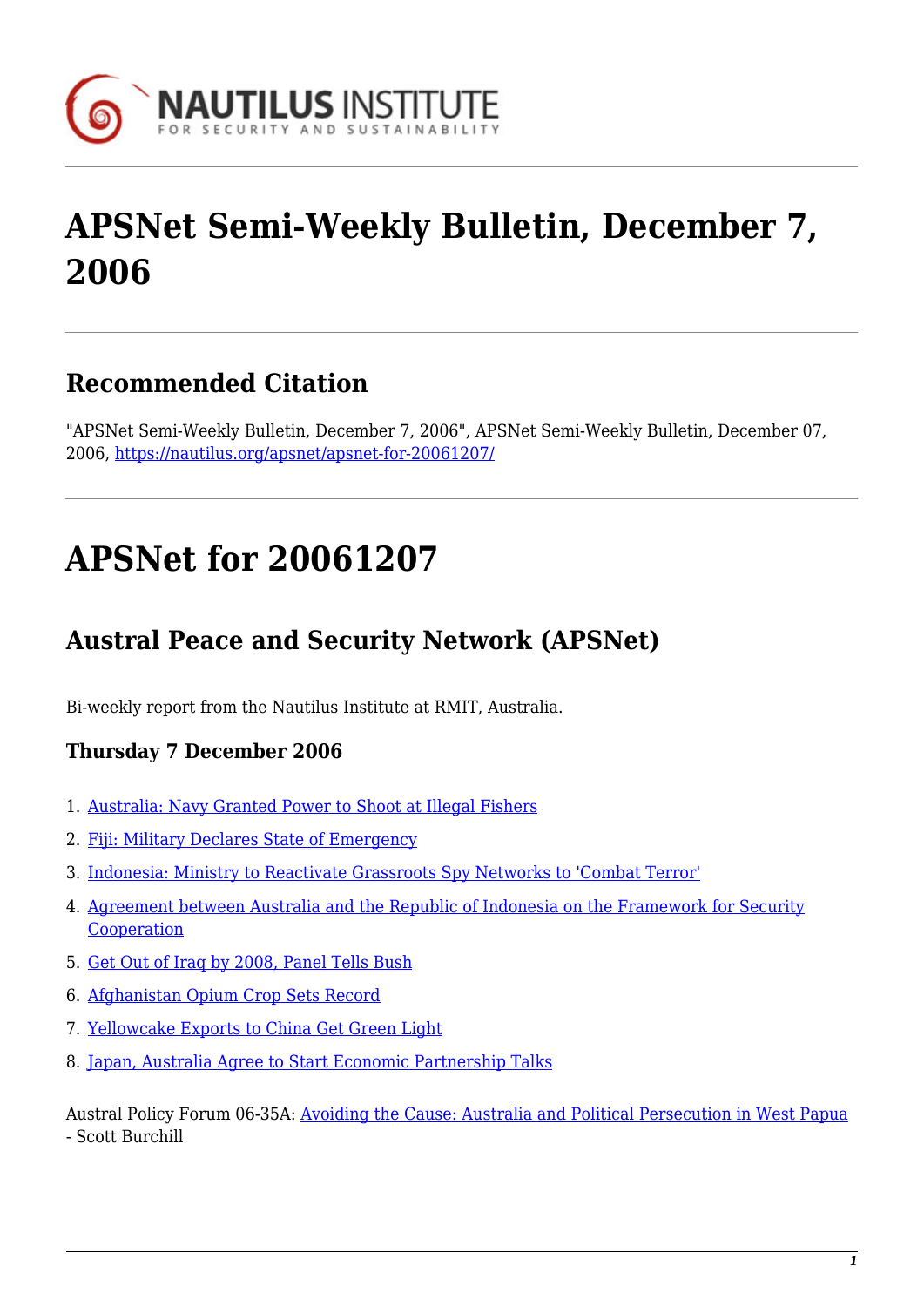

# **APSNet Semi-Weekly Bulletin, December 7, 2006**

## **Recommended Citation**

"APSNet Semi-Weekly Bulletin, December 7, 2006", APSNet Semi-Weekly Bulletin, December 07, 2006, <https://nautilus.org/apsnet/apsnet-for-20061207/>

# **APSNet for 20061207**

## **Austral Peace and Security Network (APSNet)**

Bi-weekly report from the Nautilus Institute at RMIT, Australia.

### **Thursday 7 December 2006**

- 1. [Australia: Navy Granted Power to Shoot at Illegal Fishers](#page--1-0)
- 2. [Fiji: Military Declares State of Emergency](#page--1-0)
- 3. [Indonesia: Ministry to Reactivate Grassroots Spy Networks to 'Combat Terror'](#page--1-0)
- 4. [Agreement between Australia and the Republic of Indonesia on the Framework for Security](#page--1-0) [Cooperation](#page--1-0)
- 5. [Get Out of Iraq by 2008, Panel Tells Bush](#page--1-0)
- 6. [Afghanistan Opium Crop Sets Record](#page--1-0)
- 7. [Yellowcake Exports to China Get Green Light](#page--1-0)
- 8. [Japan, Australia Agree to Start Economic Partnership Talks](#page--1-0)

Austral Policy Forum 06-35A: [Avoiding the Cause: Australia and Political Persecution in West Papua](#page--1-0) - Scott Burchill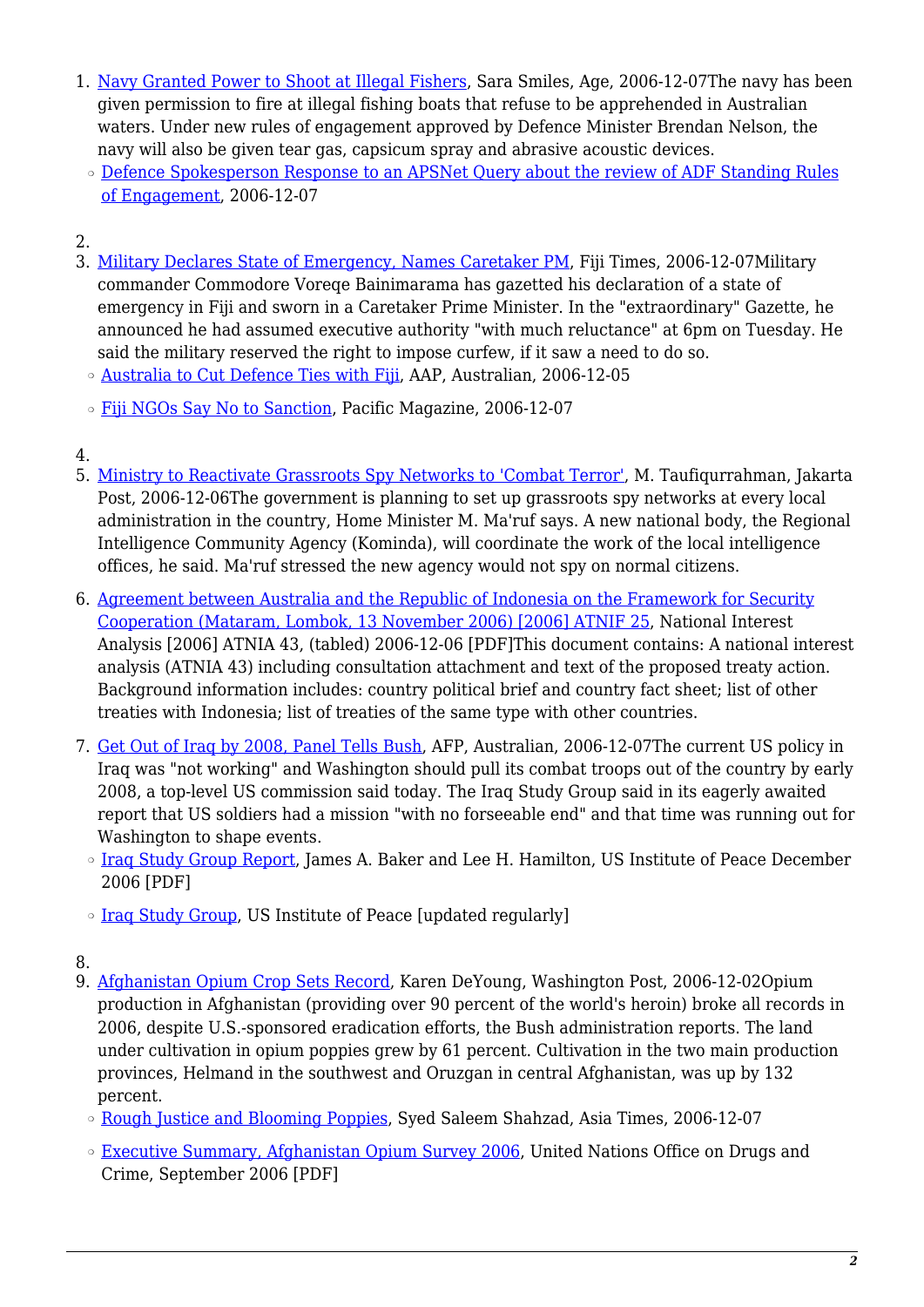- 1. [Navy Granted Power to Shoot at Illegal Fishers,](http://www.theage.com.au/news/national/navy-granted-power-to-shoot-at-illegal-fishers/2006/12/06/1165081019808.html) Sara Smiles, Age, 2006-12-07The navy has been given permission to fire at illegal fishing boats that refuse to be apprehended in Australian waters. Under new rules of engagement approved by Defence Minister Brendan Nelson, the navy will also be given tear gas, capsicum spray and abrasive acoustic devices.
- o [Defence Spokesperson Response to an APSNet Query about the review of ADF Standing Rules](http://nautilus.rmit.edu.au/publications/standing-rules-of-engagement.html) [of Engagement,](http://nautilus.rmit.edu.au/publications/standing-rules-of-engagement.html) 2006-12-07

### 2.

- 3. [Military Declares State of Emergency, Names Caretaker PM](http://www.fijitimes.com/story.aspx?id=53047), Fiji Times, 2006-12-07Military commander Commodore Voreqe Bainimarama has gazetted his declaration of a state of emergency in Fiji and sworn in a Caretaker Prime Minister. In the "extraordinary" Gazette, he announced he had assumed executive authority "with much reluctance" at 6pm on Tuesday. He said the military reserved the right to impose curfew, if it saw a need to do so.
- ❍ [Australia to Cut Defence Ties with Fiji,](http://www.theaustralian.news.com.au/story/0,20867,20875024-31477,00.html) AAP, Australian, 2006-12-05
- ❍ [Fiji NGOs Say No to Sanction](http://www.pacificislands.cc/news/2006/12/07/fiji-ngos-say-no-to-sanctions), Pacific Magazine, 2006-12-07
- 4.
- 5. [Ministry to Reactivate Grassroots Spy Networks to 'Combat Terror'](http://www.thejakartapost.com/yesterdaydetail.asp?fileid=20061206.@01), M. Taufiqurrahman, Jakarta Post, 2006-12-06The government is planning to set up grassroots spy networks at every local administration in the country, Home Minister M. Ma'ruf says. A new national body, the Regional Intelligence Community Agency (Kominda), will coordinate the work of the local intelligence offices, he said. Ma'ruf stressed the new agency would not spy on normal citizens.
- 6. [Agreement between Australia and the Republic of Indonesia on the Framework for Security](http://www.aph.gov.au/house/committee/jsct/6december2006/treaties/indonesia_nia.pdf) [Cooperation \(Mataram, Lombok, 13 November 2006\) \[2006\] ATNIF 25,](http://www.aph.gov.au/house/committee/jsct/6december2006/treaties/indonesia_nia.pdf) National Interest Analysis [2006] ATNIA 43, (tabled) 2006-12-06 [PDF]This document contains: A national interest analysis (ATNIA 43) including consultation attachment and text of the proposed treaty action. Background information includes: country political brief and country fact sheet; list of other treaties with Indonesia; list of treaties of the same type with other countries.
- 7. [Get Out of Iraq by 2008, Panel Tells Bush,](http://www.theaustralian.news.com.au/story/0,20867,20884871-601,00.html) AFP, Australian, 2006-12-07The current US policy in Iraq was "not working" and Washington should pull its combat troops out of the country by early 2008, a top-level US commission said today. The Iraq Study Group said in its eagerly awaited report that US soldiers had a mission "with no forseeable end" and that time was running out for Washington to shape events.
	- [Iraq Study Group Report](http://www.usip.org/isg/iraq_study_group_report/report/1206/iraq_study_group_report.pdf), James A. Baker and Lee H. Hamilton, US Institute of Peace December 2006 [PDF]
	- [Iraq Study Group,](http://www.usip.org/isg/iraq_study_group_report/report/1206/index.html) US Institute of Peace [updated regularly]
- 8.
- 9. [Afghanistan Opium Crop Sets Record](http://www.washingtonpost.com/wp-dyn/content/article/2006/12/01/AR2006120101654.html), Karen DeYoung, Washington Post, 2006-12-02Opium production in Afghanistan (providing over 90 percent of the world's heroin) broke all records in 2006, despite U.S.-sponsored eradication efforts, the Bush administration reports. The land under cultivation in opium poppies grew by 61 percent. Cultivation in the two main production provinces, Helmand in the southwest and Oruzgan in central Afghanistan, was up by 132 percent.
	- ❍ [Rough Justice and Blooming Poppies](http://www.atimes.com/atimes/South_Asia/HL07Df03.html), Syed Saleem Shahzad, Asia Times, 2006-12-07
	- <sup>o</sup> [Executive Summary, Afghanistan Opium Survey 2006](http://www.unodc.org/pdf/execsummaryafg.pdf), United Nations Office on Drugs and Crime, September 2006 [PDF]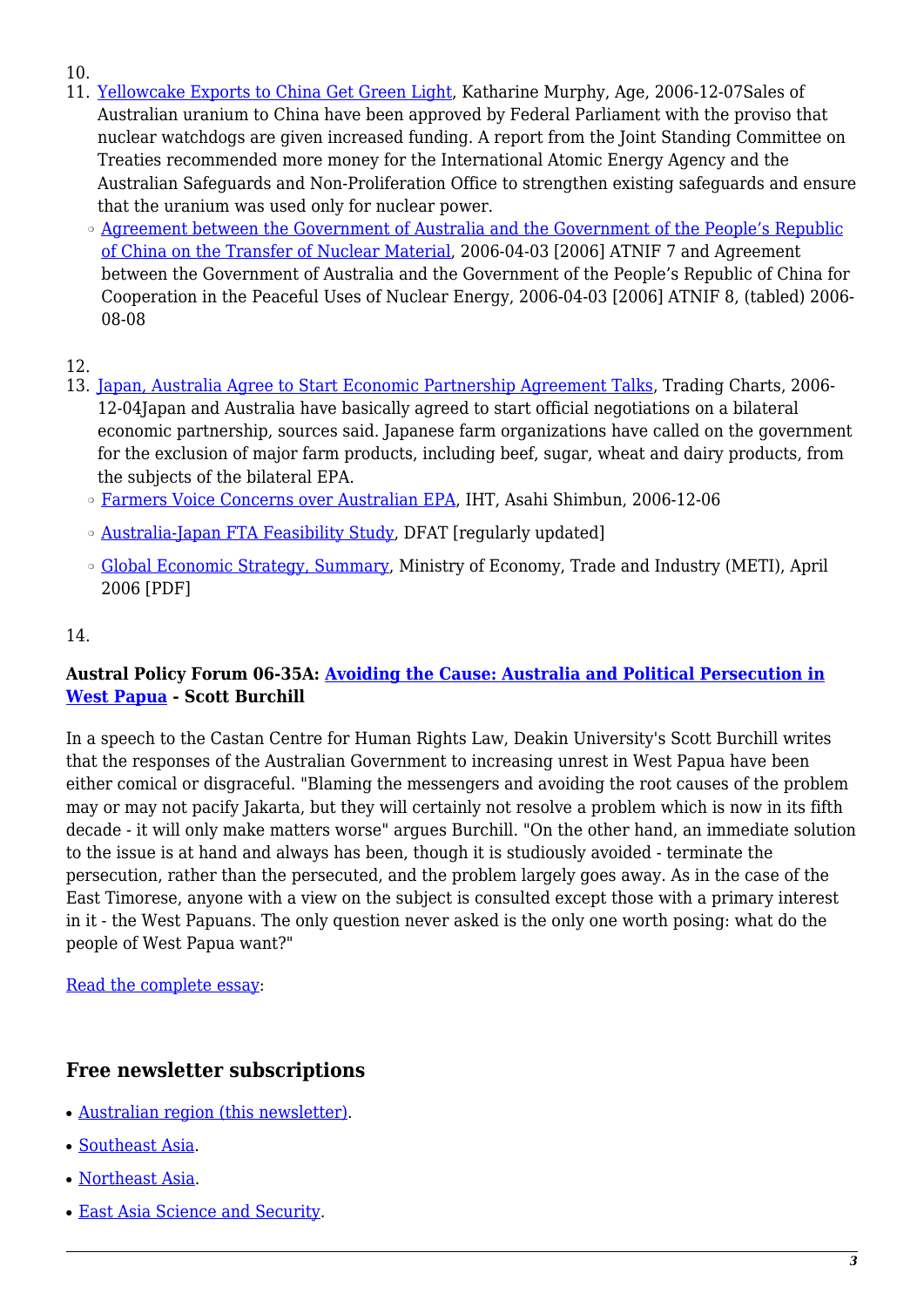- 10.
- 11. [Yellowcake Exports to China Get Green Light](http://www.theage.com.au/news/national/yellowcake-exports-to-china-get-green-light/2006/12/06/1165081019847.html), Katharine Murphy, Age, 2006-12-07Sales of Australian uranium to China have been approved by Federal Parliament with the proviso that nuclear watchdogs are given increased funding. A report from the Joint Standing Committee on Treaties recommended more money for the International Atomic Energy Agency and the Australian Safeguards and Non-Proliferation Office to strengthen existing safeguards and ensure that the uranium was used only for nuclear power.
	- o [Agreement between the Government of Australia and the Government of the People's Republic](http://www.aph.gov.au/house/committee/jsct/8august2006/treaties/chinatransfer_nia.pdf) [of China on the Transfer of Nuclear Material,](http://www.aph.gov.au/house/committee/jsct/8august2006/treaties/chinatransfer_nia.pdf) 2006-04-03 [2006] ATNIF 7 and Agreement between the Government of Australia and the Government of the People's Republic of China for Cooperation in the Peaceful Uses of Nuclear Energy, 2006-04-03 [2006] ATNIF 8, (tabled) 2006- 08-08

#### 12.

- 13. [Japan, Australia Agree to Start Economic Partnership Agreement Talks,](http://news.tradingcharts.com/futures/7/3/86490837.html) Trading Charts, 2006- 12-04Japan and Australia have basically agreed to start official negotiations on a bilateral economic partnership, sources said. Japanese farm organizations have called on the government for the exclusion of major farm products, including beef, sugar, wheat and dairy products, from the subjects of the bilateral EPA.
	- ❍ [Farmers Voice Concerns over Australian EPA,](http://www.asahi.com/english/Herald-asahi/TKY200612050122.html) IHT, Asahi Shimbun, 2006-12-06
	- $\circ$  [Australia-Japan FTA Feasibility Study,](http://www.dfat.gov.au/geo/japan/fta/index.html) DFAT [regularly updated]
	- ❍ [Global Economic Strategy, Summary,](http://www.meti.go.jp/english/topic/downloadfiles/GlobalEconomicStrategy(Summary).pdf) Ministry of Economy, Trade and Industry (METI), April 2006 [PDF]

#### 14.

#### **Austral Policy Forum 06-35A: [Avoiding the Cause: Australia and Political Persecution in](http://nautilus.org/publications/essays/apsnet/policy-forum/2006/0635a-burchill.html) [West Papua](http://nautilus.org/publications/essays/apsnet/policy-forum/2006/0635a-burchill.html) - Scott Burchill**

In a speech to the Castan Centre for Human Rights Law, Deakin University's Scott Burchill writes that the responses of the Australian Government to increasing unrest in West Papua have been either comical or disgraceful. "Blaming the messengers and avoiding the root causes of the problem may or may not pacify Jakarta, but they will certainly not resolve a problem which is now in its fifth decade - it will only make matters worse" argues Burchill. "On the other hand, an immediate solution to the issue is at hand and always has been, though it is studiously avoided - terminate the persecution, rather than the persecuted, and the problem largely goes away. As in the case of the East Timorese, anyone with a view on the subject is consulted except those with a primary interest in it - the West Papuans. The only question never asked is the only one worth posing: what do the people of West Papua want?"

[Read the complete essay](http://nautilus.rmit.edu.au/forum-reports/0635a-burchill.html#n1):

### **Free newsletter subscriptions**

- [Australian region \(this newsletter\)](http://www.nautilus.org/mailman/listinfo/apsnet).
- [Southeast Asia](http://www.siiaonline.org/seapsnet).
- [Northeast Asia.](http://nautilus.org/napsnet/dr/index-2.html)
- [East Asia Science and Security](http://nautilus.org/aesnet/index0.html).